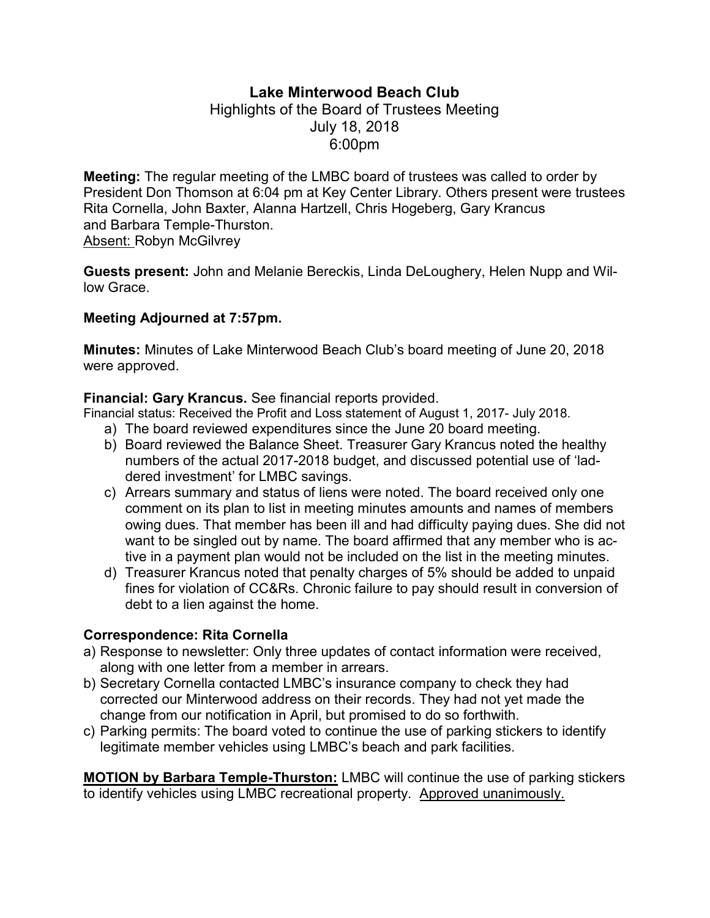# Lake Minterwood Beach Club

### Highlights of the Board of Trustees Meeting July 18, 2018 6:00pm

Meeting: The regular meeting of the LMBC board of trustees was called to order by President Don Thomson at 6:04 pm at Key Center Library. Others present were trustees Rita Cornella, John Baxter, Alanna Hartzell, Chris Hogeberg, Gary Krancus and Barbara Temple-Thurston. Absent: Robyn McGilvrey

Guests present: John and Melanie Bereckis, Linda DeLoughery, Helen Nupp and Willow Grace.

#### Meeting Adjourned at 7:57pm.

Minutes: Minutes of Lake Minterwood Beach Club's board meeting of June 20, 2018 were approved.

#### Financial: Gary Krancus. See financial reports provided.

Financial status: Received the Profit and Loss statement of August 1, 2017- July 2018.

- a) The board reviewed expenditures since the June 20 board meeting.
- b) Board reviewed the Balance Sheet. Treasurer Gary Krancus noted the healthy numbers of the actual 2017-2018 budget, and discussed potential use of 'laddered investment' for LMBC savings.
- c) Arrears summary and status of liens were noted. The board received only one comment on its plan to list in meeting minutes amounts and names of members owing dues. That member has been ill and had difficulty paying dues. She did not want to be singled out by name. The board affirmed that any member who is active in a payment plan would not be included on the list in the meeting minutes.
- d) Treasurer Krancus noted that penalty charges of 5% should be added to unpaid fines for violation of CC&Rs. Chronic failure to pay should result in conversion of debt to a lien against the home.

#### Correspondence: Rita Cornella

- a) Response to newsletter: Only three updates of contact information were received, along with one letter from a member in arrears.
- b) Secretary Cornella contacted LMBC's insurance company to check they had corrected our Minterwood address on their records. They had not yet made the change from our notification in April, but promised to do so forthwith.
- c) Parking permits: The board voted to continue the use of parking stickers to identify legitimate member vehicles using LMBC's beach and park facilities.

MOTION by Barbara Temple-Thurston: LMBC will continue the use of parking stickers to identify vehicles using LMBC recreational property. Approved unanimously.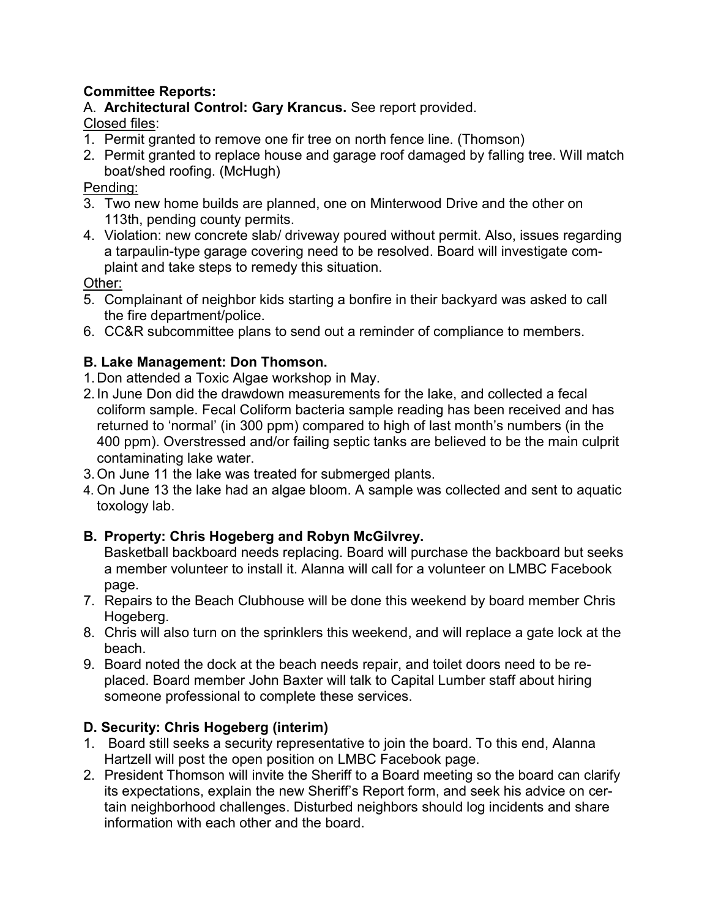### Committee Reports:

A. Architectural Control: Gary Krancus. See report provided.

Closed files:

- 1. Permit granted to remove one fir tree on north fence line. (Thomson)
- 2. Permit granted to replace house and garage roof damaged by falling tree. Will match boat/shed roofing. (McHugh)

### Pending:

- 3. Two new home builds are planned, one on Minterwood Drive and the other on 113th, pending county permits.
- 4. Violation: new concrete slab/ driveway poured without permit. Also, issues regarding a tarpaulin-type garage covering need to be resolved. Board will investigate complaint and take steps to remedy this situation.

### Other:

- 5. Complainant of neighbor kids starting a bonfire in their backyard was asked to call the fire department/police.
- 6. CC&R subcommittee plans to send out a reminder of compliance to members.

# B. Lake Management: Don Thomson.

- 1. Don attended a Toxic Algae workshop in May.
- 2. In June Don did the drawdown measurements for the lake, and collected a fecal coliform sample. Fecal Coliform bacteria sample reading has been received and has returned to 'normal' (in 300 ppm) compared to high of last month's numbers (in the 400 ppm). Overstressed and/or failing septic tanks are believed to be the main culprit contaminating lake water.
- 3. On June 11 the lake was treated for submerged plants.
- 4. On June 13 the lake had an algae bloom. A sample was collected and sent to aquatic toxology lab.

# B. Property: Chris Hogeberg and Robyn McGilvrey.

Basketball backboard needs replacing. Board will purchase the backboard but seeks a member volunteer to install it. Alanna will call for a volunteer on LMBC Facebook page.

- 7. Repairs to the Beach Clubhouse will be done this weekend by board member Chris Hogeberg.
- 8. Chris will also turn on the sprinklers this weekend, and will replace a gate lock at the beach.
- 9. Board noted the dock at the beach needs repair, and toilet doors need to be replaced. Board member John Baxter will talk to Capital Lumber staff about hiring someone professional to complete these services.

# D. Security: Chris Hogeberg (interim)

- 1. Board still seeks a security representative to join the board. To this end, Alanna Hartzell will post the open position on LMBC Facebook page.
- 2. President Thomson will invite the Sheriff to a Board meeting so the board can clarify its expectations, explain the new Sheriff's Report form, and seek his advice on certain neighborhood challenges. Disturbed neighbors should log incidents and share information with each other and the board.